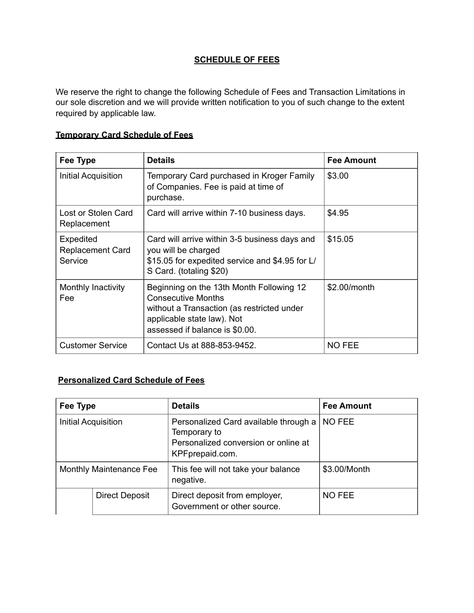## **SCHEDULE OF FEES**

We reserve the right to change the following Schedule of Fees and Transaction Limitations in our sole discretion and we will provide written notification to you of such change to the extent required by applicable law.

| Fee Type                                        | <b>Details</b>                                                                                                                                                                      | <b>Fee Amount</b> |
|-------------------------------------------------|-------------------------------------------------------------------------------------------------------------------------------------------------------------------------------------|-------------------|
| Initial Acquisition                             | Temporary Card purchased in Kroger Family<br>of Companies. Fee is paid at time of<br>purchase.                                                                                      | \$3.00            |
| Lost or Stolen Card<br>Replacement              | Card will arrive within 7-10 business days.                                                                                                                                         | \$4.95            |
| Expedited<br><b>Replacement Card</b><br>Service | Card will arrive within 3-5 business days and<br>you will be charged<br>\$15.05 for expedited service and \$4.95 for L/<br>S Card. (totaling \$20)                                  | \$15.05           |
| Monthly Inactivity<br>Fee                       | Beginning on the 13th Month Following 12<br><b>Consecutive Months</b><br>without a Transaction (as restricted under<br>applicable state law). Not<br>assessed if balance is \$0.00. | \$2.00/month      |
| <b>Customer Service</b>                         | Contact Us at 888-853-9452.                                                                                                                                                         | <b>NO FEE</b>     |

## **Temporary Card Schedule of Fees**

## **Personalized Card Schedule of Fees**

| Fee Type                |                       | <b>Details</b>                                                                                                   | <b>Fee Amount</b> |  |
|-------------------------|-----------------------|------------------------------------------------------------------------------------------------------------------|-------------------|--|
| Initial Acquisition     |                       | Personalized Card available through a<br>Temporary to<br>Personalized conversion or online at<br>KPFprepaid.com. | NO FEE            |  |
| Monthly Maintenance Fee |                       | This fee will not take your balance<br>negative.                                                                 | \$3.00/Month      |  |
|                         | <b>Direct Deposit</b> | Direct deposit from employer,<br>Government or other source.                                                     | <b>NO FEE</b>     |  |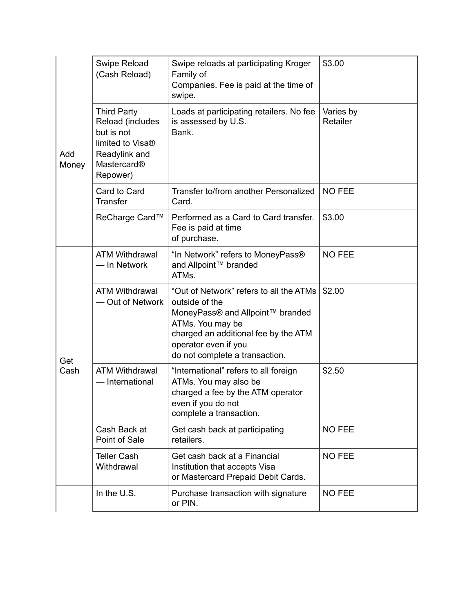| Add<br>Money | Swipe Reload<br>(Cash Reload)                                                                                                    | Swipe reloads at participating Kroger<br>Family of<br>Companies. Fee is paid at the time of<br>swipe.                                                                                                               | \$3.00                |
|--------------|----------------------------------------------------------------------------------------------------------------------------------|---------------------------------------------------------------------------------------------------------------------------------------------------------------------------------------------------------------------|-----------------------|
|              | <b>Third Party</b><br>Reload (includes<br>but is not<br>limited to Visa <sup>®</sup><br>Readylink and<br>Mastercard®<br>Repower) | Loads at participating retailers. No fee<br>is assessed by U.S.<br>Bank.                                                                                                                                            | Varies by<br>Retailer |
|              | Card to Card<br><b>Transfer</b>                                                                                                  | Transfer to/from another Personalized<br>Card.                                                                                                                                                                      | <b>NO FEE</b>         |
|              | ReCharge Card™                                                                                                                   | Performed as a Card to Card transfer.<br>Fee is paid at time<br>of purchase.                                                                                                                                        | \$3.00                |
| Get<br>Cash  | <b>ATM Withdrawal</b><br>- In Network                                                                                            | "In Network" refers to MoneyPass®<br>and Allpoint™ branded<br>ATMs.                                                                                                                                                 | <b>NO FEE</b>         |
|              | <b>ATM Withdrawal</b><br>- Out of Network                                                                                        | "Out of Network" refers to all the ATMs<br>outside of the<br>MoneyPass® and Allpoint™ branded<br>ATMs. You may be<br>charged an additional fee by the ATM<br>operator even if you<br>do not complete a transaction. | \$2.00                |
|              | <b>ATM Withdrawal</b><br>- International                                                                                         | "International" refers to all foreign<br>ATMs. You may also be<br>charged a fee by the ATM operator<br>even if you do not<br>complete a transaction.                                                                | \$2.50                |
|              | Cash Back at<br>Point of Sale                                                                                                    | Get cash back at participating<br>retailers.                                                                                                                                                                        | <b>NO FEE</b>         |
|              | <b>Teller Cash</b><br>Withdrawal                                                                                                 | Get cash back at a Financial<br>Institution that accepts Visa<br>or Mastercard Prepaid Debit Cards.                                                                                                                 | <b>NO FEE</b>         |
|              | In the U.S.                                                                                                                      | Purchase transaction with signature<br>or PIN.                                                                                                                                                                      | <b>NO FEE</b>         |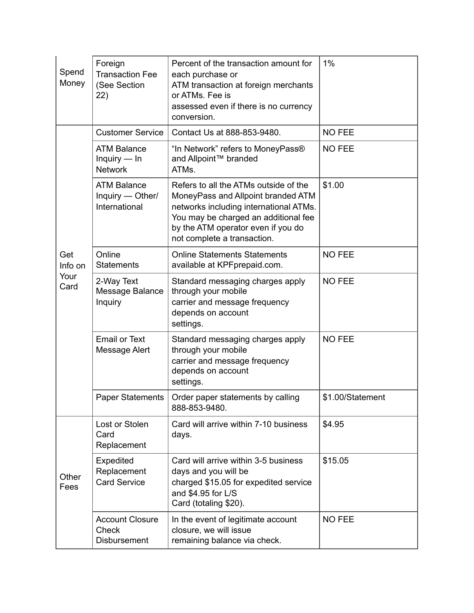| Spend<br>Money                 | Foreign<br><b>Transaction Fee</b><br>(See Section<br>(22) | Percent of the transaction amount for<br>each purchase or<br>ATM transaction at foreign merchants<br>or ATMs. Fee is<br>assessed even if there is no currency<br>conversion.                                                       | 1%               |
|--------------------------------|-----------------------------------------------------------|------------------------------------------------------------------------------------------------------------------------------------------------------------------------------------------------------------------------------------|------------------|
| Get<br>Info on<br>Your<br>Card | <b>Customer Service</b>                                   | Contact Us at 888-853-9480.                                                                                                                                                                                                        | <b>NO FEE</b>    |
|                                | <b>ATM Balance</b><br>Inquiry $-$ In<br><b>Network</b>    | "In Network" refers to MoneyPass®<br>and Allpoint™ branded<br>ATMs.                                                                                                                                                                | <b>NO FEE</b>    |
|                                | <b>ATM Balance</b><br>Inquiry — Other/<br>International   | Refers to all the ATMs outside of the<br>MoneyPass and Allpoint branded ATM<br>networks including international ATMs.<br>You may be charged an additional fee<br>by the ATM operator even if you do<br>not complete a transaction. | \$1.00           |
|                                | Online<br><b>Statements</b>                               | <b>Online Statements Statements</b><br>available at KPFprepaid.com.                                                                                                                                                                | <b>NO FEE</b>    |
|                                | 2-Way Text<br>Message Balance<br><b>Inquiry</b>           | Standard messaging charges apply<br>through your mobile<br>carrier and message frequency<br>depends on account<br>settings.                                                                                                        | <b>NO FEE</b>    |
|                                | <b>Email or Text</b><br>Message Alert                     | Standard messaging charges apply<br>through your mobile<br>carrier and message frequency<br>depends on account<br>settings.                                                                                                        | <b>NO FEE</b>    |
|                                | <b>Paper Statements</b>                                   | Order paper statements by calling<br>888-853-9480.                                                                                                                                                                                 | \$1.00/Statement |
| Other<br>Fees                  | Lost or Stolen<br>Card<br>Replacement                     | Card will arrive within 7-10 business<br>days.                                                                                                                                                                                     | \$4.95           |
|                                | Expedited<br>Replacement<br><b>Card Service</b>           | Card will arrive within 3-5 business<br>days and you will be<br>charged \$15.05 for expedited service<br>and \$4.95 for L/S<br>Card (totaling \$20).                                                                               | \$15.05          |
|                                | <b>Account Closure</b><br>Check<br><b>Disbursement</b>    | In the event of legitimate account<br>closure, we will issue<br>remaining balance via check.                                                                                                                                       | <b>NO FEE</b>    |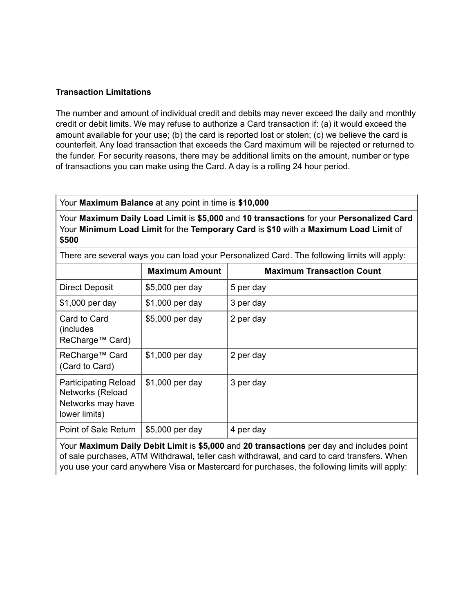## **Transaction Limitations**

The number and amount of individual credit and debits may never exceed the daily and monthly credit or debit limits. We may refuse to authorize a Card transaction if: (a) it would exceed the amount available for your use; (b) the card is reported lost or stolen; (c) we believe the card is counterfeit. Any load transaction that exceeds the Card maximum will be rejected or returned to the funder. For security reasons, there may be additional limits on the amount, number or type of transactions you can make using the Card. A day is a rolling 24 hour period.

Your **Maximum Balance** at any point in time is **\$10,000**

Your **Maximum Daily Load Limit** is **\$5,000** and **10 transactions** for your **Personalized Card**  Your **Minimum Load Limit** for the **Temporary Card** is **\$10** with a **Maximum Load Limit** of **\$500**

There are several ways you can load your Personalized Card. The following limits will apply:

|                                                                                          | <b>Maximum Amount</b> | <b>Maximum Transaction Count</b> |
|------------------------------------------------------------------------------------------|-----------------------|----------------------------------|
| Direct Deposit                                                                           | \$5,000 per day       | 5 per day                        |
| \$1,000 per day                                                                          | \$1,000 per day       | 3 per day                        |
| Card to Card<br>(includes)<br>ReCharge™ Card)                                            | \$5,000 per day       | 2 per day                        |
| ReCharge™ Card<br>(Card to Card)                                                         | \$1,000 per day       | 2 per day                        |
| <b>Participating Reload</b><br>Networks (Reload<br>Networks may have<br>lower limits)    | \$1,000 per day       | 3 per day                        |
| Point of Sale Return                                                                     | \$5,000 per day       | 4 per day                        |
| Your Maximum Daily Dobit Limit is \$5,000 and 20 transactions per day and includes point |                       |                                  |

Your **Maximum Daily Debit Limit** is **\$5,000** and **20 transactions** per day and includes point of sale purchases, ATM Withdrawal, teller cash withdrawal, and card to card transfers. When you use your card anywhere Visa or Mastercard for purchases, the following limits will apply: